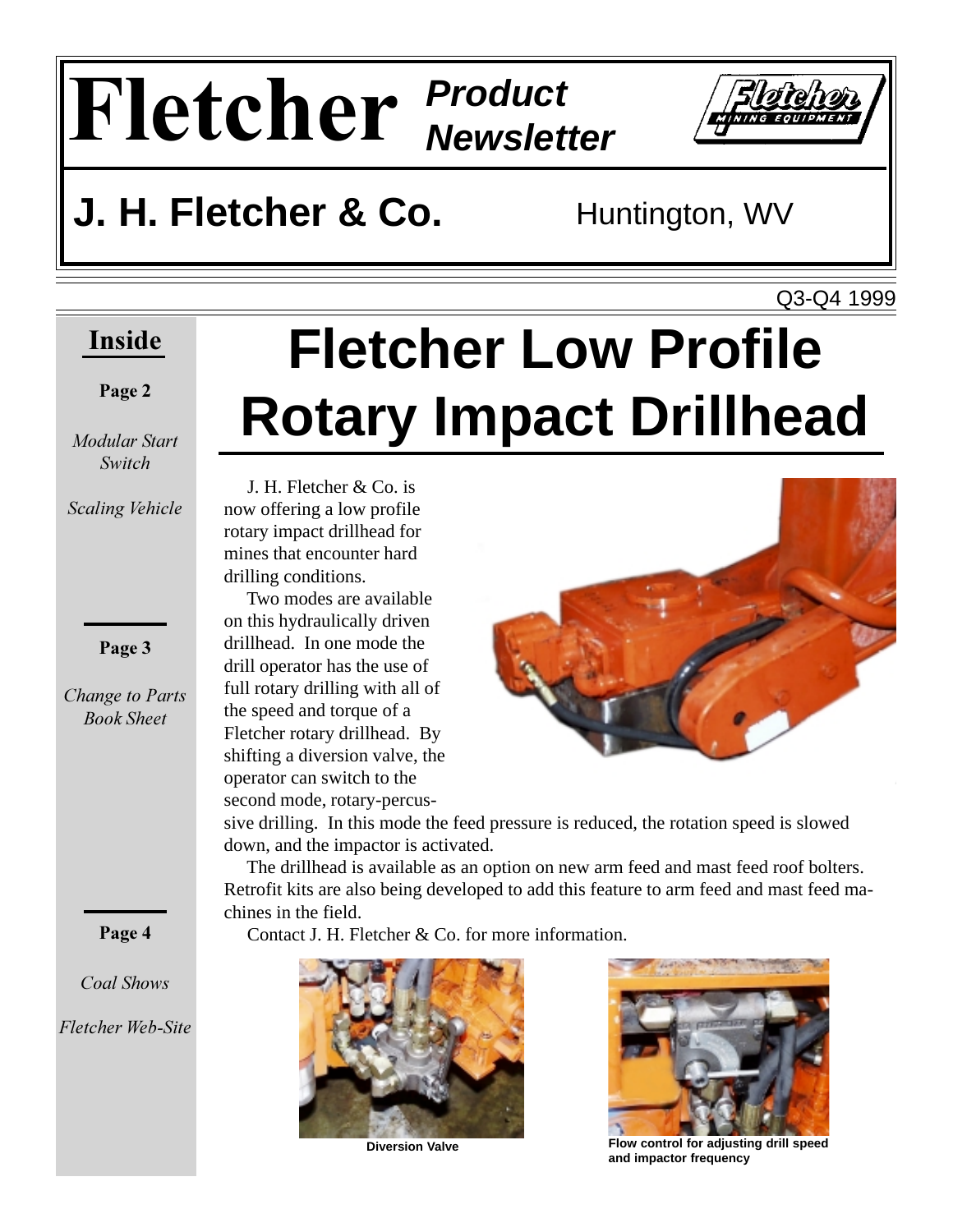# $\mathbf{F}$ **letcher Product**



### **J. H. Fletcher & Co.** Huntington, WV

Q3-Q4 1999

### **Inside**

#### Page 2

*Modular Start* 

Scaling *Vehicle* 

Page 3

*<i>Change to Parts --* 

### Page 4

*Coal Shows* 

*Fletcher Web-Site* 

## **Fletcher Low Profile Rotary Impact Drillhead**

 J. H. Fletcher & Co. is now offering a low profile rotary impact drillhead for mines that encounter hard drilling conditions.

 Two modes are available on this hydraulically driven drillhead. In one mode the drill operator has the use of full rotary drilling with all of the speed and torque of a Fletcher rotary drillhead. By shifting a diversion valve, the operator can switch to the second mode, rotary-percus-



sive drilling. In this mode the feed pressure is reduced, the rotation speed is slowed down, and the impactor is activated.

 The drillhead is available as an option on new arm feed and mast feed roof bolters. Retrofit kits are also being developed to add this feature to arm feed and mast feed machines in the field.

Contact J. H. Fletcher & Co. for more information.





**Diversion Valve Flow control for adjusting drill speed and impactor frequency**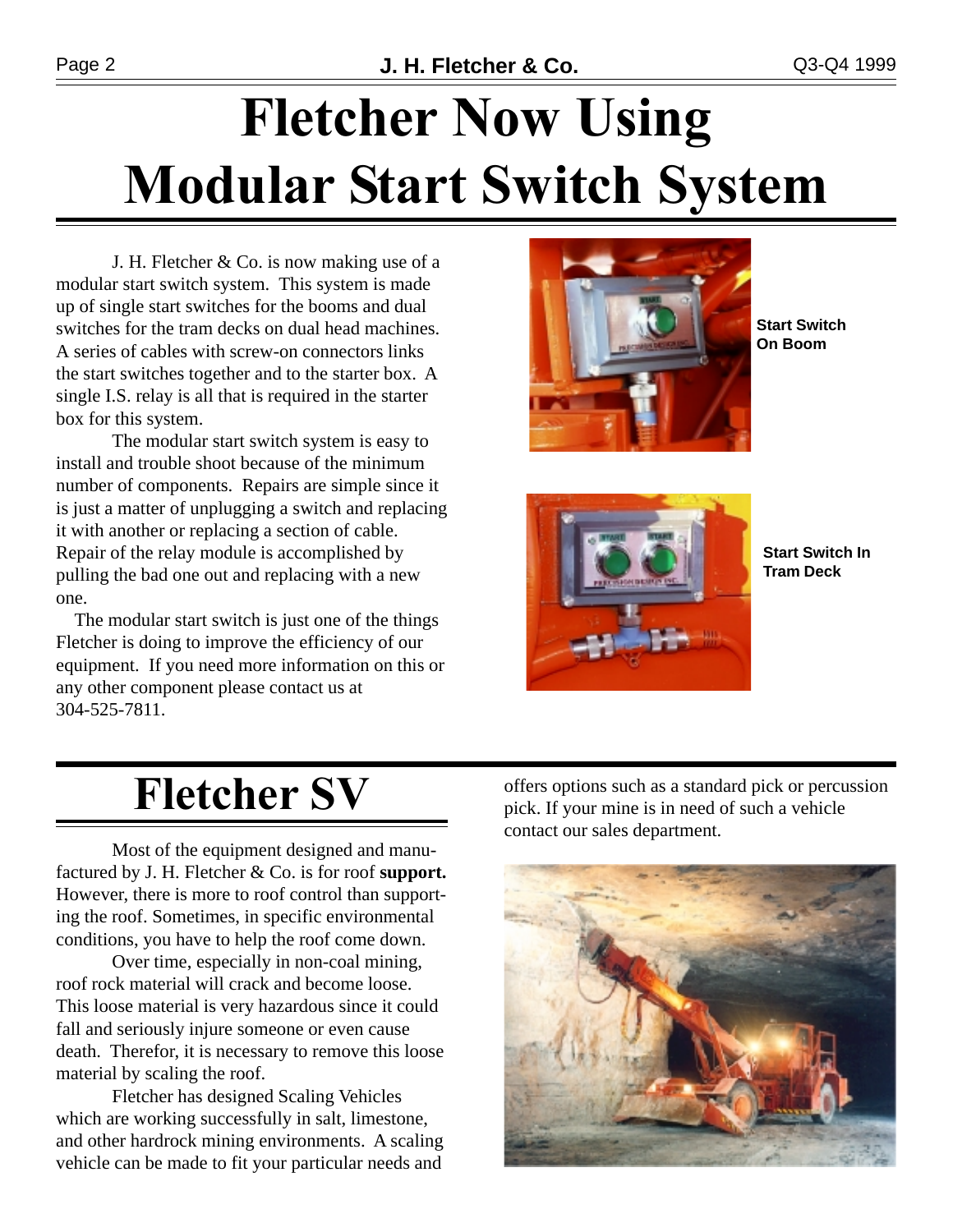## **Fletcher Now Using Modular Start Switch System**

J. H. Fletcher & Co. is now making use of a modular start switch system. This system is made up of single start switches for the booms and dual switches for the tram decks on dual head machines. A series of cables with screw-on connectors links the start switches together and to the starter box. A single I.S. relay is all that is required in the starter box for this system.

The modular start switch system is easy to install and trouble shoot because of the minimum number of components. Repairs are simple since it is just a matter of unplugging a switch and replacing it with another or replacing a section of cable. Repair of the relay module is accomplished by pulling the bad one out and replacing with a new one.

 The modular start switch is just one of the things Fletcher is doing to improve the efficiency of our equipment. If you need more information on this or any other component please contact us at 304-525-7811.



**Start Switch On Boom**



**Start Switch In Tram Deck**

### **Fletcher SV**

Most of the equipment designed and manufactured by J. H. Fletcher & Co. is for roof **support.** However, there is more to roof control than supporting the roof. Sometimes, in specific environmental conditions, you have to help the roof come down.

Over time, especially in non-coal mining, roof rock material will crack and become loose. This loose material is very hazardous since it could fall and seriously injure someone or even cause death. Therefor, it is necessary to remove this loose material by scaling the roof.

Fletcher has designed Scaling Vehicles which are working successfully in salt, limestone, and other hardrock mining environments. A scaling vehicle can be made to fit your particular needs and offers options such as a standard pick or percussion pick. If your mine is in need of such a vehicle contact our sales department.

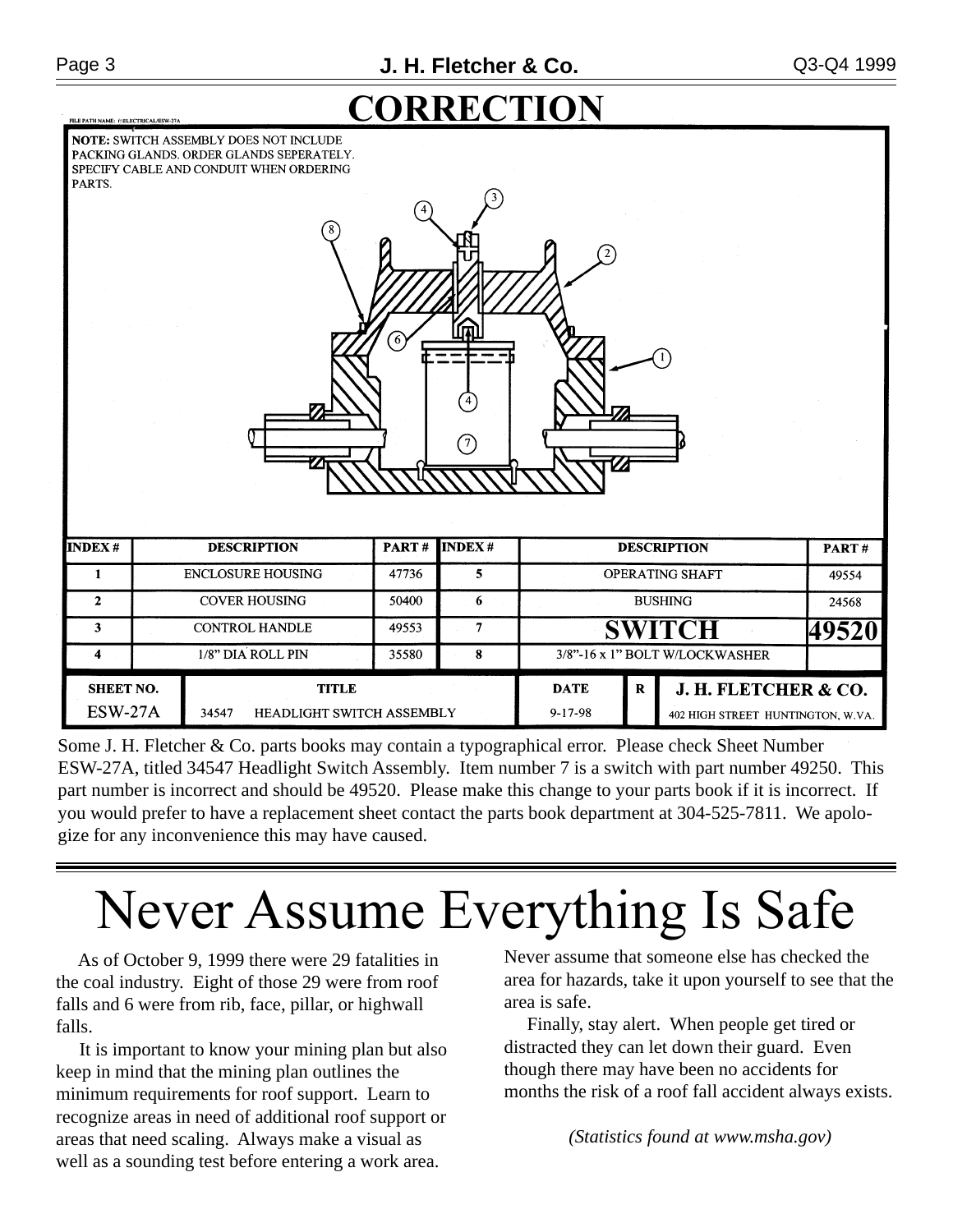**ILE PATH NAME: ENELECTRICAL/ESW-27** 



**NOTE: SWITCH ASSEMBLY DOES NOT INCLUDE** PACKING GLANDS. ORDER GLANDS SEPERATELY. SPECIFY CABLE AND CONDUIT WHEN ORDERING

| PARTS.                             |                          | 8                                                  | ි)    | ⑦              | 2                              |              |                                                           |       |
|------------------------------------|--------------------------|----------------------------------------------------|-------|----------------|--------------------------------|--------------|-----------------------------------------------------------|-------|
| <b>INDEX#</b>                      |                          | <b>DESCRIPTION</b>                                 | PART# | <b>INDEX#</b>  |                                |              | <b>DESCRIPTION</b>                                        | PART# |
| 1                                  | <b>ENCLOSURE HOUSING</b> |                                                    | 47736 | 5              | OPERATING SHAFT                |              |                                                           | 49554 |
| $\mathbf{2}$                       | <b>COVER HOUSING</b>     |                                                    | 50400 | 6              | <b>BUSHING</b>                 |              |                                                           | 24568 |
| 3                                  | <b>CONTROL HANDLE</b>    |                                                    | 49553 | $\overline{7}$ | <b>SWITCH</b>                  |              | 49520                                                     |       |
| 4                                  | 1/8" DIA ROLL PIN        |                                                    | 35580 | 8              | 3/8"-16 x 1" BOLT W/LOCKWASHER |              |                                                           |       |
| <b>SHEET NO.</b><br><b>ESW-27A</b> |                          | <b>TITLE</b><br>34547<br>HEADLIGHT SWITCH ASSEMBLY |       |                | <b>DATE</b><br>$9 - 17 - 98$   | $\mathbf{R}$ | J. H. FLETCHER & CO.<br>402 HIGH STREET HUNTINGTON, W.VA. |       |

Some J. H. Fletcher & Co. parts books may contain a typographical error. Please check Sheet Number ESW-27A, titled 34547 Headlight Switch Assembly. Item number 7 is a switch with part number 49250. This part number is incorrect and should be 49520. Please make this change to your parts book if it is incorrect. If you would prefer to have a replacement sheet contact the parts book department at 304-525-7811. We apologize for any inconvenience this may have caused.

## Never Assume Everything Is Safe

 As of October 9, 1999 there were 29 fatalities in the coal industry. Eight of those 29 were from roof falls and 6 were from rib, face, pillar, or highwall falls.

 It is important to know your mining plan but also keep in mind that the mining plan outlines the minimum requirements for roof support. Learn to recognize areas in need of additional roof support or areas that need scaling. Always make a visual as well as a sounding test before entering a work area.

Never assume that someone else has checked the area for hazards, take it upon yourself to see that the area is safe.

 Finally, stay alert. When people get tired or distracted they can let down their guard. Even though there may have been no accidents for months the risk of a roof fall accident always exists.

*(Statistics found at www.msha.gov)*